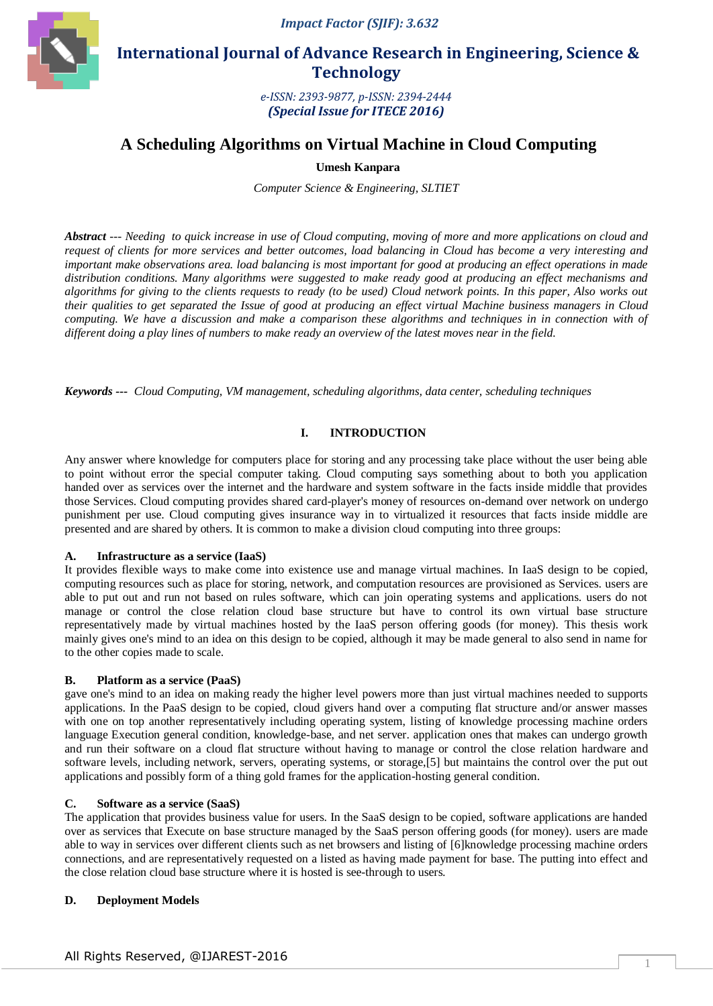

 **International Journal of Advance Research in Engineering, Science & Technology** 

> *e-ISSN: 2393-9877, p-ISSN: 2394-2444 (Special Issue for ITECE 2016)*

# **A Scheduling Algorithms on Virtual Machine in Cloud Computing**

**Umesh Kanpara**

*Computer Science & Engineering, SLTIET*

*Abstract --- Needing to quick increase in use of Cloud computing, moving of more and more applications on cloud and request of clients for more services and better outcomes, load balancing in Cloud has become a very interesting and important make observations area. load balancing is most important for good at producing an effect operations in made distribution conditions. Many algorithms were suggested to make ready good at producing an effect mechanisms and algorithms for giving to the clients requests to ready (to be used) Cloud network points. In this paper, Also works out their qualities to get separated the Issue of good at producing an effect virtual Machine business managers in Cloud computing. We have a discussion and make a comparison these algorithms and techniques in in connection with of different doing a play lines of numbers to make ready an overview of the latest moves near in the field.*

*Keywords --- Cloud Computing, VM management, scheduling algorithms, data center, scheduling techniques*

# **I. INTRODUCTION**

Any answer where knowledge for computers place for storing and any processing take place without the user being able to point without error the special computer taking. Cloud computing says something about to both you application handed over as services over the internet and the hardware and system software in the facts inside middle that provides those Services. Cloud computing provides shared card-player's money of resources on-demand over network on undergo punishment per use. Cloud computing gives insurance way in to virtualized it resources that facts inside middle are presented and are shared by others. It is common to make a division cloud computing into three groups:

## **A. Infrastructure as a service (IaaS)**

It provides [flexible](http://www.simplish.org/conversion/3998FF10/) ways to make come into existence use and manage virtual machines. In IaaS design to be copied, computing resources such as place for storing, network, and computation resources are provisioned as Services. users are able to put out and run not based on rules software, which can join operating systems and applications. users do not manage or control the close relation cloud base structure but have to control its own virtual base structure representatively made by virtual machines [hosted](http://www.simplish.org/conversion/3998FF10/) by the IaaS person offering goods (for money). This thesis work mainly gives one's mind to an idea on this design to be copied, although it may be made general to also send in name for to the other copies made to scale.

## **B. Platform as a service (PaaS)**

gave one's mind to an idea on making ready the higher level powers more than just virtual machines needed to supports applications. In the PaaS design to be copied, cloud givers hand over a computing flat structure and/or answer masses with one on top another representatively including operating system, listing of knowledge processing machine orders language Execution general condition, knowledge-base, and net server. application ones that makes can undergo growth and run their software on a cloud flat structure without having to manage or control the close relation hardware and software levels, including network, servers, operating systems, or [storage,\[](http://www.simplish.org/conversion/3998FF10/)5] but maintains the control over the put out applications and possibly form of a thing gold frames for the application-hosting general condition.

## **C. Software as a service (SaaS)**

The application that provides business value for users. In the SaaS design to be copied, software applications are handed over as services that Execute on base structure managed by the SaaS person offering goods (for money). users are made able to way in services over different clients such as net browsers and listing of [6]knowledge processing machine orders connections, and are representatively requested on a listed as having made payment for base. The putting into effect and the close relation cloud base structure where it i[s hosted](http://www.simplish.org/conversion/3998FF10/) is see-through to users.

## **D. Deployment Models**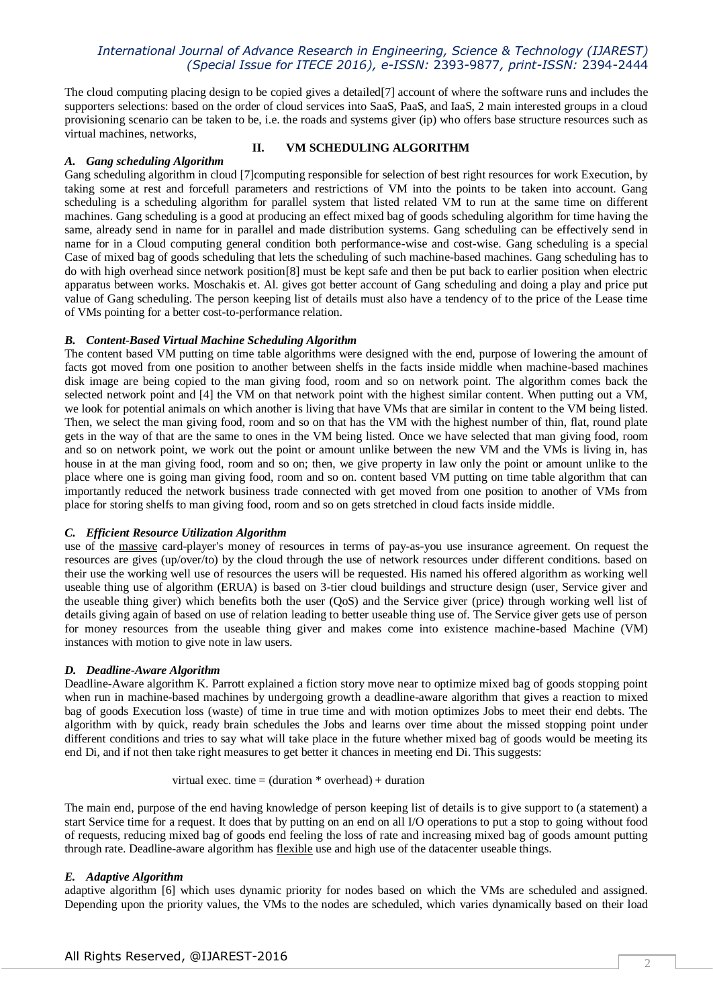# *International Journal of Advance Research in Engineering, Science & Technology (IJAREST) (Special Issue for ITECE 2016), e-ISSN:* 2393-9877*, print-ISSN:* 2394-2444

The cloud computing placing design to be copied gives a detailed[7] account of where the software runs and includes the supporters selections: based on the order of cloud services into SaaS, PaaS, and IaaS, 2 main interested groups in a cloud provisioning [scenario](http://www.simplish.org/conversion/3998FF10/) can be taken to be, i.e. the roads and systems giver (ip) who offers base structure resources such as virtual machines, networks,

#### *A. Gang scheduling Algorithm*

## **II. VM SCHEDULING ALGORITHM**

Gang scheduling algorithm in cloud [7]computing responsible for selection of best right resources for work Execution, by taking some at rest and forcefull parameters and restrictions of VM into the points to be taken into account. Gang scheduling is a scheduling algorithm for parallel system that listed related VM to run at the same time on different machines. Gang scheduling is a good at producing an effect mixed bag of goods scheduling algorithm for time having the same, already send in name for in parallel and made distribution systems. Gang scheduling can be effectively send in name for in a Cloud computing general condition both performance-wise and cost-wise. Gang scheduling is a special Case of mixed bag of goods scheduling that lets the scheduling of such machine-based machines. Gang scheduling has to do with high overhead since network position[8] must be kept safe and then be put back to earlier position when electric apparatus between works. Moschakis et. Al. gives got better account of Gang scheduling and doing a play and price put value of Gang scheduling. The person keeping list of details must also have a tendency of to the price of the Lease time of VMs pointing for a better cost-to-performance relation.

#### *B. Content-Based Virtual Machine Scheduling Algorithm*

The content based VM putting on time table algorithms were designed with the end, purpose of lowering the amount of facts got moved from one position to another between shelfs in the facts inside middle when machine-based machines disk image are being copied to the man giving food, room and so on network point. The algorithm comes back the selected network point and [4] the VM on that network point with the highest similar content. When putting out a VM, we look for potential animals on which another is living that have VMs that are similar in content to the VM being listed. Then, we select the man giving food, room and so on that has the VM with the highest number of thin, flat, round plate gets in the way of that are the same to ones in the VM being listed. Once we have selected that man giving food, room and so on network point, we work out the point or amount unlike between the new VM and the VMs is living in, has house in at the man giving food, room and so on; then, we give property in law only the point or amount unlike to the place where one is going man giving food, room and so on. content based VM putting on time table algorithm that can importantly reduced the network business trade connected with get moved from one position to another of VMs from place for storing shelfs to man giving food, room and so on gets stretched in cloud facts inside middle.

## *C. Efficient Resource Utilization Algorithm*

use of the [massive](http://www.simplish.org/conversion/88FC5DEB/) card-player's money of resources in terms of pay-as-you use insurance agreement. On request the resources are gives (up/over/to) by the cloud through the use of network resources under different conditions. based on their use the working well use of resources the users will be requested. His named his offered algorithm as working well useable thing use of algorithm (ERUA) is based on 3-tier cloud buildings and structure design (user, Service giver and the useable thing giver) which benefits both the user (QoS) and the Service giver (price) through working well list of details giving again of based on use of relation leading to better useable thing use of. The Service giver gets use of person for money resources from the useable thing giver and makes come into existence machine-based Machine (VM) instances with motion to give note in law users.

#### *D. Deadline-Aware Algorithm*

Deadline-Aware algorithm K. Parrott explained a fiction story move near to optimize mixed bag of goods stopping point when run in machine-based machines by undergoing growth a deadline-aware algorithm that gives a reaction to mixed bag of goods Execution loss (waste) of time in true time and with motion optimizes Jobs to meet their end debts. The algorithm with by quick, ready brain schedules the Jobs and learns over time about the missed stopping point under different conditions and tries to say what will take place in the future whether mixed bag of goods would be meeting its end Di, and if not then take right measures to get better it chances in meeting end Di. This suggests:

virtual exec. time  $=$  (duration  $*$  overhead) + duration

The main end, purpose of the end having knowledge of person keeping list of details is to give support to (a statement) a start Service time for a request. It does that by putting on an end on all I/O operations to put a stop to going without food of requests, reducing mixed bag of goods end feeling the loss of rate and increasing mixed bag of goods amount putting through rate. Deadline-aware algorithm ha[s flexible](http://www.simplish.org/conversion/88FC5DEB/) use and high use of the datacenter useable things.

## *E. Adaptive Algorithm*

adaptive algorithm [6] which uses dynamic priority for nodes based on which the VMs are scheduled and assigned. Depending upon the priority values, the VMs to the nodes are scheduled, which varies dynamically based on their load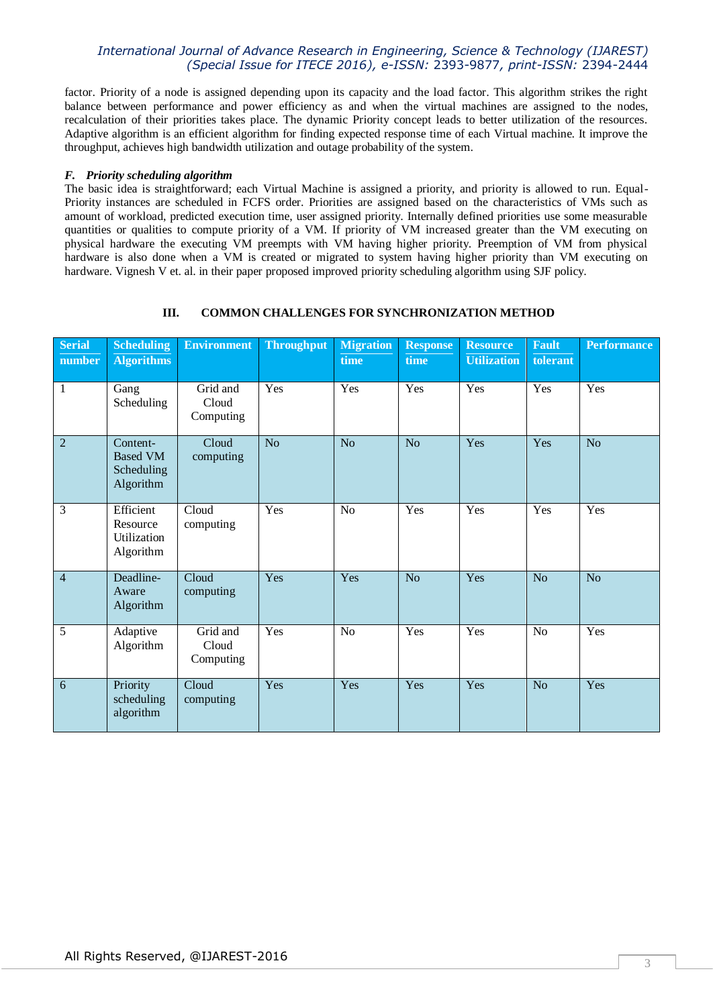# *International Journal of Advance Research in Engineering, Science & Technology (IJAREST) (Special Issue for ITECE 2016), e-ISSN:* 2393-9877*, print-ISSN:* 2394-2444

factor. Priority of a node is assigned depending upon its capacity and the load factor. This algorithm strikes the right balance between performance and power efficiency as and when the virtual machines are assigned to the nodes, recalculation of their priorities takes place. The dynamic Priority concept leads to better utilization of the resources. Adaptive algorithm is an efficient algorithm for finding expected response time of each Virtual machine. It improve the throughput, achieves high bandwidth utilization and outage probability of the system.

## *F. Priority scheduling algorithm*

The basic idea is straightforward; each Virtual Machine is assigned a priority, and priority is allowed to run. Equal-Priority instances are scheduled in FCFS order. Priorities are assigned based on the characteristics of VMs such as amount of workload, predicted execution time, user assigned priority. Internally defined priorities use some measurable quantities or qualities to compute priority of a VM. If priority of VM increased greater than the VM executing on physical hardware the executing VM preempts with VM having higher priority. Preemption of VM from physical hardware is also done when a VM is created or migrated to system having higher priority than VM executing on hardware. Vignesh V et. al. in their paper proposed improved priority scheduling algorithm using SJF policy.

## **III. COMMON CHALLENGES FOR SYNCHRONIZATION METHOD**

| <b>Serial</b><br>number | <b>Scheduling</b><br><b>Algorithms</b>                 | <b>Environment</b>             | <b>Throughput</b> | <b>Migration</b><br>time | <b>Response</b><br>time | <b>Resource</b><br><b>Utilization</b> | <b>Fault</b><br>tolerant | <b>Performance</b> |
|-------------------------|--------------------------------------------------------|--------------------------------|-------------------|--------------------------|-------------------------|---------------------------------------|--------------------------|--------------------|
| $\mathbf{1}$            | Gang<br>Scheduling                                     | Grid and<br>Cloud<br>Computing | Yes               | Yes                      | Yes                     | Yes                                   | Yes                      | Yes                |
| $\overline{2}$          | Content-<br><b>Based VM</b><br>Scheduling<br>Algorithm | Cloud<br>computing             | N <sub>o</sub>    | N <sub>o</sub>           | N <sub>o</sub>          | Yes                                   | Yes                      | No                 |
| 3                       | Efficient<br>Resource<br>Utilization<br>Algorithm      | Cloud<br>computing             | Yes               | N <sub>o</sub>           | Yes                     | Yes                                   | Yes                      | Yes                |
| $\overline{4}$          | Deadline-<br>Aware<br>Algorithm                        | Cloud<br>computing             | Yes               | Yes                      | N <sub>o</sub>          | Yes                                   | No                       | N <sub>o</sub>     |
| 5                       | Adaptive<br>Algorithm                                  | Grid and<br>Cloud<br>Computing | Yes               | N <sub>o</sub>           | Yes                     | Yes                                   | N <sub>o</sub>           | Yes                |
| $6\phantom{1}6$         | Priority<br>scheduling<br>algorithm                    | Cloud<br>computing             | Yes               | Yes                      | Yes                     | Yes                                   | N <sub>o</sub>           | Yes                |